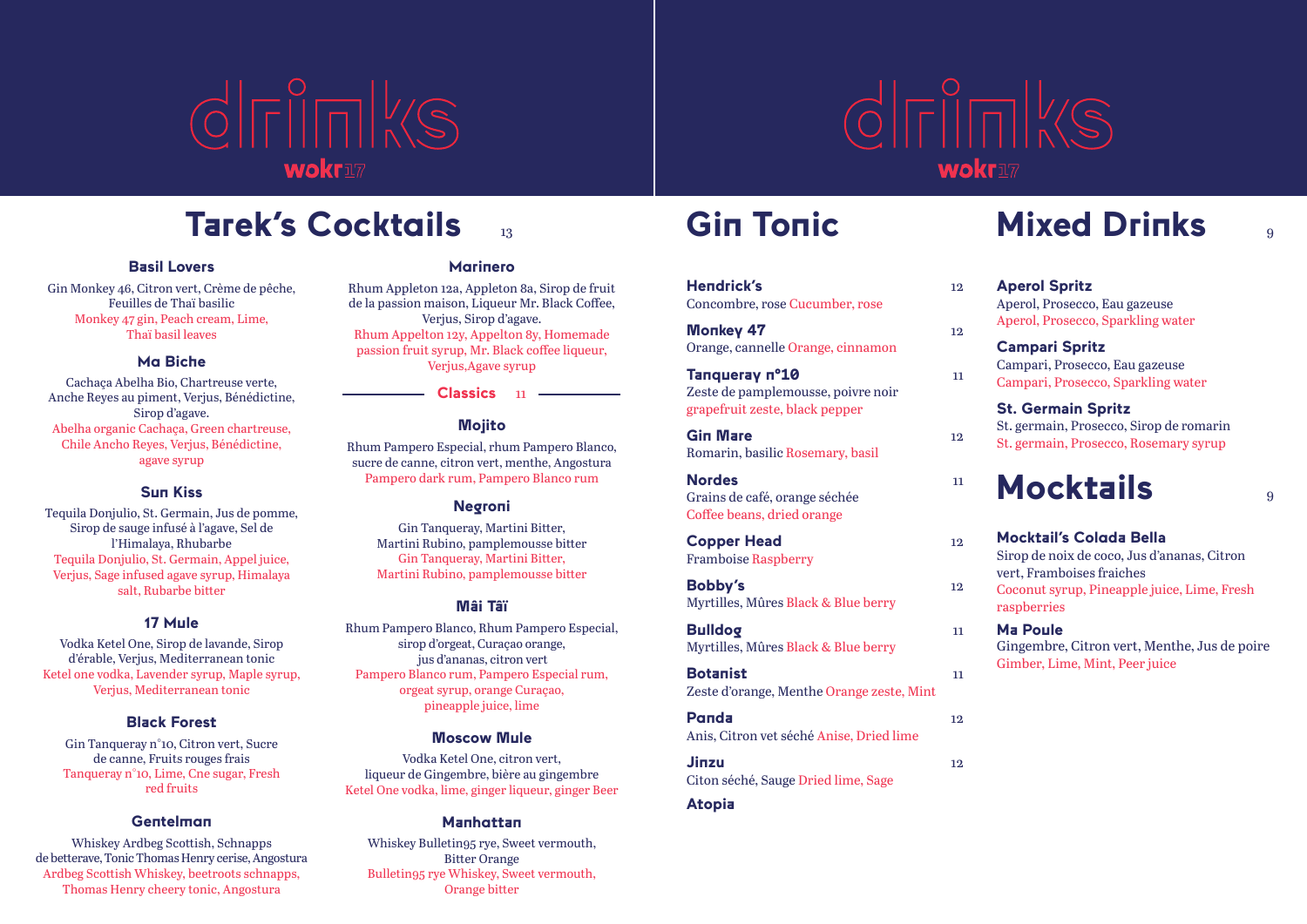



## **Tarek's Cocktails** <sup>13</sup> **Gin Tonic Mixed Drinks** <sup>9</sup>

#### **Basil Lovers**

Gin Monkey 46, Citron vert, Crème de pêche, Feuilles de Thaï basilic Monkey 47 gin, Peach cream, Lime, Thaï basil leaves

#### **Ma Biche**

Cachaça Abelha Bio, Chartreuse verte, Anche Reyes au piment, Verjus, Bénédictine, Sirop d'agave. Abelha organic Cachaça, Green chartreuse, Chile Ancho Reyes, Verjus, Bénédictine, agave syrup

#### **Sun Kiss**

Tequila Donjulio, St. Germain, Jus de pomme, Sirop de sauge infusé à l'agave, Sel de l'Himalaya, Rhubarbe Tequila Donjulio, St. Germain, Appel juice, Verjus, Sage infused agave syrup, Himalaya salt, Rubarbe bitter

#### **17 Mule**

Vodka Ketel One, Sirop de lavande, Sirop d'érable, Verjus, Mediterranean tonic Ketel one vodka, Lavender syrup, Maple syrup, Verjus, Mediterranean tonic

#### **Black Forest**

Gin Tanqueray n°10, Citron vert, Sucre de canne, Fruits rouges frais Tanqueray n°10, Lime, Cne sugar, Fresh red fruits

#### **Gentelman**

Whiskey Ardbeg Scottish, Schnapps de betterave, Tonic Thomas Henry cerise, Angostura Ardbeg Scottish Whiskey, beetroots schnapps, Thomas Henry cheery tonic, Angostura

#### **Marinero**

Rhum Appleton 12a, Appleton 8a, Sirop de fruit de la passion maison, Liqueur Mr. Black Coffee, Verjus, Sirop d'agave. Rhum Appelton 12y, Appelton 8y, Homemade passion fruit syrup, Mr. Black coffee liqueur, Verjus,Agave syrup

> **Classics** <sup>11</sup> **Mojito**

Rhum Pampero Especial, rhum Pampero Blanco, sucre de canne, citron vert, menthe, Angostura Pampero dark rum, Pampero Blanco rum

#### **Negroni**

Gin Tanqueray, Martini Bitter, Martini Rubino, pamplemousse bitter Gin Tanqueray, Martini Bitter, Martini Rubino, pamplemousse bitter

#### **Mâi Tâï**

Rhum Pampero Blanco, Rhum Pampero Especial, sirop d'orgeat, Curaçao orange, jus d'ananas, citron vert Pampero Blanco rum, Pampero Especial rum, orgeat syrup, orange Curaçao, pineapple juice, lime

#### **Moscow Mule**

Vodka Ketel One, citron vert, liqueur de Gingembre, bière au gingembre Ketel One vodka, lime, ginger liqueur, ginger Beer

#### **Manhattan**

Whiskey Bulletin95 rye, Sweet vermouth, Bitter Orange Bulletin95 rye Whiskey, Sweet vermouth, Orange bitter

#### **Hendrick's** 12

Concombre, rose Cucumber, rose

**Monkey 47** 12 Orange, cannelle Orange, cinnamon

#### **Tanqueray n°10** 11 Zeste de pamplemousse, poivre noir grapefruit zeste, black pepper

**Gin Mare** 12 Romarin, basilic Rosemary, basil

#### **Nordes** 11 Grains de café, orange séchée Coffee beans, dried orange

**Copper Head** 12 Framboise Raspberry

**Bobby's** 12 Myrtilles, Mûres Black & Blue berry

#### **Bulldog** 11

Myrtilles, Mûres Black & Blue berry

#### **Botanist** 11

Zeste d'orange, Menthe Orange zeste, Mint

#### **Panda** 12 Anis, Citron vet séché Anise, Dried lime

**Jinzu** 12

#### Citon séché, Sauge Dried lime, Sage

#### **Atopia**

**Aperol Spritz** Aperol, Prosecco, Eau gazeuse Aperol, Prosecco, Sparkling water **Campari Spritz** Campari, Prosecco, Eau gazeuse Campari, Prosecco, Sparkling water

#### **St. Germain Spritz** St. germain, Prosecco, Sirop de romarin St. germain, Prosecco, Rosemary syrup

## **Mocktails** <sup>9</sup>

**Mocktail's Colada Bella**

Sirop de noix de coco, Jus d'ananas, Citron vert, Framboises fraiches

- Coconut syrup, Pineapple juice, Lime, Fresh raspberries
- **Ma Poule**

Gingembre, Citron vert, Menthe, Jus de poire Gimber, Lime, Mint, Peer juice